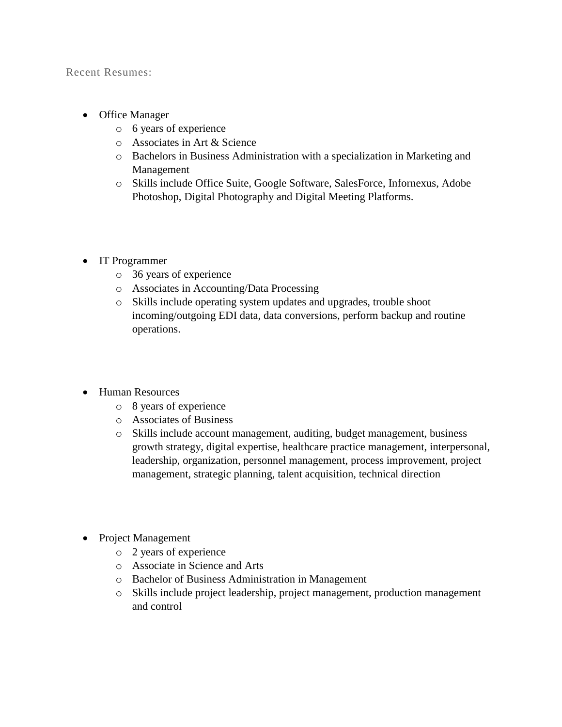Recent Resumes:

- Office Manager
	- o 6 years of experience
	- o Associates in Art & Science
	- o Bachelors in Business Administration with a specialization in Marketing and Management
	- o Skills include Office Suite, Google Software, SalesForce, Infornexus, Adobe Photoshop, Digital Photography and Digital Meeting Platforms.
- IT Programmer
	- o 36 years of experience
	- o Associates in Accounting/Data Processing
	- o Skills include operating system updates and upgrades, trouble shoot incoming/outgoing EDI data, data conversions, perform backup and routine operations.
- Human Resources
	- o 8 years of experience
	- o Associates of Business
	- o Skills include account management, auditing, budget management, business growth strategy, digital expertise, healthcare practice management, interpersonal, leadership, organization, personnel management, process improvement, project management, strategic planning, talent acquisition, technical direction
- Project Management
	- o 2 years of experience
	- o Associate in Science and Arts
	- o Bachelor of Business Administration in Management
	- o Skills include project leadership, project management, production management and control